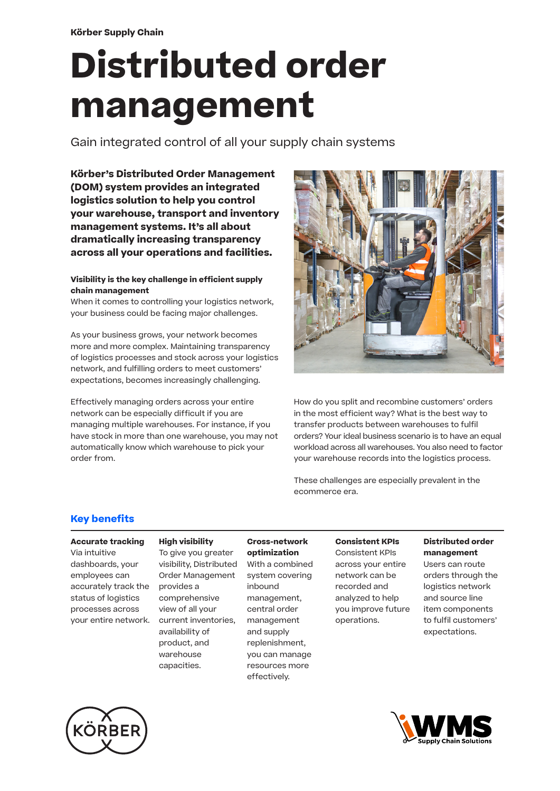# **Distributed order management**

Gain integrated control of all your supply chain systems

**Körber's Distributed Order Management (DOM) system provides an integrated logistics solution to help you control your warehouse, transport and inventory management systems. It's all about dramatically increasing transparency across all your operations and facilities.** 

#### **Visibility is the key challenge in efficient supply chain management**

When it comes to controlling your logistics network, your business could be facing major challenges.

As your business grows, your network becomes more and more complex. Maintaining transparency of logistics processes and stock across your logistics network, and fulfilling orders to meet customers' expectations, becomes increasingly challenging.

Effectively managing orders across your entire network can be especially difficult if you are managing multiple warehouses. For instance, if you have stock in more than one warehouse, you may not automatically know which warehouse to pick your order from.



How do you split and recombine customers' orders in the most efficient way? What is the best way to transfer products between warehouses to fulfil orders? Your ideal business scenario is to have an equal workload across all warehouses. You also need to factor your warehouse records into the logistics process.

These challenges are especially prevalent in the ecommerce era.

# **Key benefits**

#### **Accurate tracking**

Via intuitive dashboards, your employees can accurately track the status of logistics processes across your entire network.

**High visibility** To give you greater visibility, Distributed Order Management provides a comprehensive view of all your current inventories, availability of product, and warehouse capacities.

# **Cross-network**

**optimization** With a combined system covering inbound management, central order management and supply replenishment, you can manage resources more effectively.

# **Consistent KPIs**

Consistent KPIs across your entire network can be recorded and analyzed to help you improve future operations.

#### **Distributed order management**

Users can route orders through the logistics network and source line item components to fulfil customers' expectations.